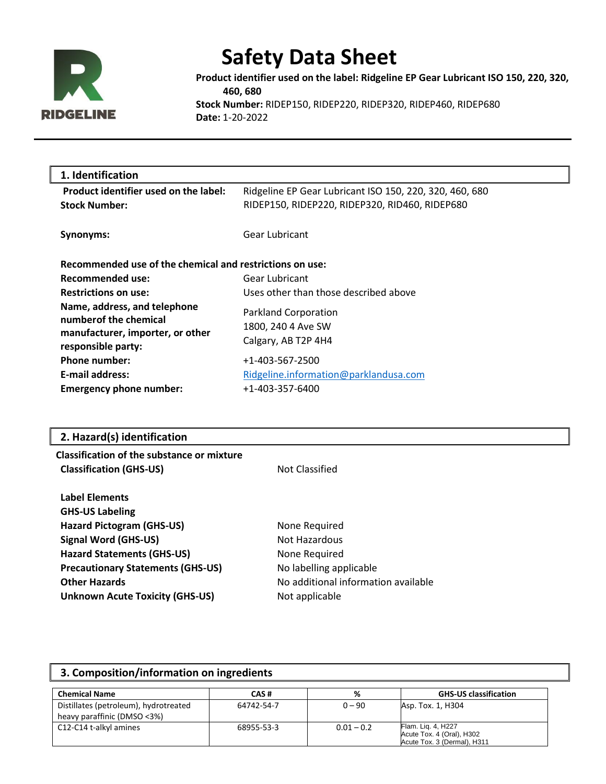

**Product identifier used on the label: Ridgeline EP Gear Lubricant ISO 150, 220, 320, 460, 680 Stock Number:** RIDEP150, RIDEP220, RIDEP320, RIDEP460, RIDEP680 **Date:** 1-20-2022

| 1. Identification                                                                                                |                                                                                                           |
|------------------------------------------------------------------------------------------------------------------|-----------------------------------------------------------------------------------------------------------|
| Product identifier used on the label:<br><b>Stock Number:</b>                                                    | Ridgeline EP Gear Lubricant ISO 150, 220, 320, 460, 680<br>RIDEP150, RIDEP220, RIDEP320, RID460, RIDEP680 |
| Synonyms:                                                                                                        | Gear Lubricant                                                                                            |
| Recommended use of the chemical and restrictions on use:                                                         |                                                                                                           |
| Recommended use:                                                                                                 | Gear Lubricant                                                                                            |
| <b>Restrictions on use:</b>                                                                                      | Uses other than those described above                                                                     |
| Name, address, and telephone<br>number of the chemical<br>manufacturer, importer, or other<br>responsible party: | Parkland Corporation<br>1800, 240 4 Ave SW<br>Calgary, AB T2P 4H4                                         |
| Phone number:                                                                                                    | +1-403-567-2500                                                                                           |
| <b>E-mail address:</b>                                                                                           | Ridgeline.information@parklandusa.com                                                                     |
| <b>Emergency phone number:</b>                                                                                   | +1-403-357-6400                                                                                           |

### **2. Hazard(s) identification**

| <b>Classification of the substance or mixture</b> |                                     |  |
|---------------------------------------------------|-------------------------------------|--|
| <b>Classification (GHS-US)</b>                    | Not Classified                      |  |
| <b>Label Elements</b>                             |                                     |  |
| <b>GHS-US Labeling</b>                            |                                     |  |
| <b>Hazard Pictogram (GHS-US)</b>                  | None Required                       |  |
| <b>Signal Word (GHS-US)</b>                       | Not Hazardous                       |  |
| <b>Hazard Statements (GHS-US)</b>                 | None Required                       |  |
| <b>Precautionary Statements (GHS-US)</b>          | No labelling applicable             |  |
| <b>Other Hazards</b>                              | No additional information available |  |
| <b>Unknown Acute Toxicity (GHS-US)</b>            | Not applicable                      |  |
|                                                   |                                     |  |

#### **3. Composition/information on ingredients Chemical Name CAS # % GHS-US classification** Distillates (petroleum), hydrotreated heavy paraffinic (DMSO <3%) 64742-54-7 0 – 90 Asp. Tox. 1, H304 C12-C14 t-alkyl amines 68955-53-3 0.01 – 0.2 Flam. Liq. 4, H227<br>Acute Tox. 4 (Oral), H302 Acute Tox. 3 (Dermal), H311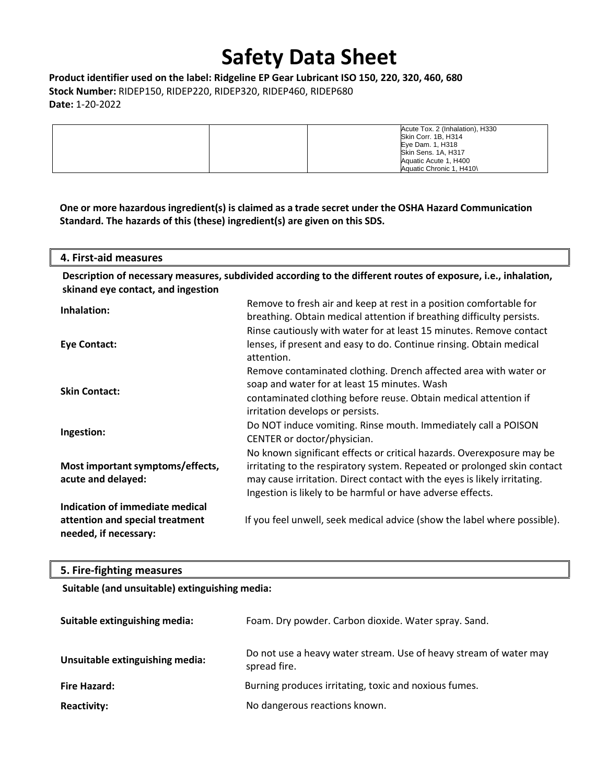**Product identifier used on the label: Ridgeline EP Gear Lubricant ISO 150, 220, 320, 460, 680 Stock Number:** RIDEP150, RIDEP220, RIDEP320, RIDEP460, RIDEP680 **Date:** 1-20-2022

| Acute Tox. 2 (Inhalation), H330<br>Skin Corr. 1B, H314<br>Eye Dam. 1, H318<br>Skin Sens. 1A, H317<br>Aquatic Acute 1, H400 |
|----------------------------------------------------------------------------------------------------------------------------|
| Aquatic Chronic 1. H410\                                                                                                   |

**One or more hazardous ingredient(s) is claimed as a trade secret under the OSHA Hazard Communication Standard. The hazards of this (these) ingredient(s) are given on this SDS.**

**4. First-aid measures**

| Description of necessary measures, subdivided according to the different routes of exposure, i.e., inhalation, |  |
|----------------------------------------------------------------------------------------------------------------|--|
| skinand eye contact, and ingestion                                                                             |  |

| Inhalation:                                                                                 | Remove to fresh air and keep at rest in a position comfortable for<br>breathing. Obtain medical attention if breathing difficulty persists.                                                                                                                                                 |
|---------------------------------------------------------------------------------------------|---------------------------------------------------------------------------------------------------------------------------------------------------------------------------------------------------------------------------------------------------------------------------------------------|
| Eye Contact:                                                                                | Rinse cautiously with water for at least 15 minutes. Remove contact<br>lenses, if present and easy to do. Continue rinsing. Obtain medical<br>attention.                                                                                                                                    |
| <b>Skin Contact:</b>                                                                        | Remove contaminated clothing. Drench affected area with water or<br>soap and water for at least 15 minutes. Wash<br>contaminated clothing before reuse. Obtain medical attention if<br>irritation develops or persists.                                                                     |
| Ingestion:                                                                                  | Do NOT induce vomiting. Rinse mouth. Immediately call a POISON<br>CENTER or doctor/physician.                                                                                                                                                                                               |
| Most important symptoms/effects,<br>acute and delayed:                                      | No known significant effects or critical hazards. Overexposure may be<br>irritating to the respiratory system. Repeated or prolonged skin contact<br>may cause irritation. Direct contact with the eyes is likely irritating.<br>Ingestion is likely to be harmful or have adverse effects. |
| Indication of immediate medical<br>attention and special treatment<br>needed, if necessary: | If you feel unwell, seek medical advice (show the label where possible).                                                                                                                                                                                                                    |

### **5. Fire-fighting measures**

**Suitable (and unsuitable) extinguishing media:**

| Suitable extinguishing media:   | Foam. Dry powder. Carbon dioxide. Water spray. Sand.                              |
|---------------------------------|-----------------------------------------------------------------------------------|
| Unsuitable extinguishing media: | Do not use a heavy water stream. Use of heavy stream of water may<br>spread fire. |
| <b>Fire Hazard:</b>             | Burning produces irritating, toxic and noxious fumes.                             |
| <b>Reactivity:</b>              | No dangerous reactions known.                                                     |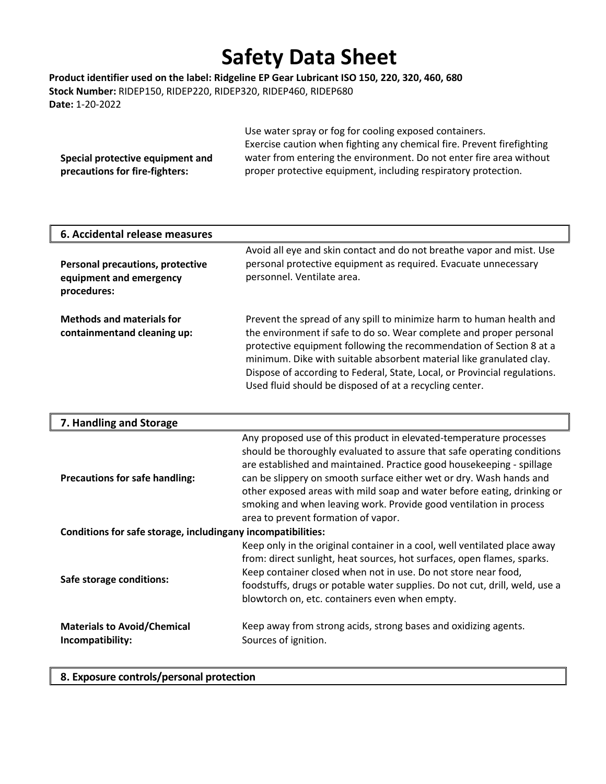**Product identifier used on the label: Ridgeline EP Gear Lubricant ISO 150, 220, 320, 460, 680 Stock Number:** RIDEP150, RIDEP220, RIDEP320, RIDEP460, RIDEP680 **Date:** 1-20-2022

|                                  | Use water spray or fog for cooling exposed containers.                 |
|----------------------------------|------------------------------------------------------------------------|
|                                  | Exercise caution when fighting any chemical fire. Prevent firefighting |
| Special protective equipment and | water from entering the environment. Do not enter fire area without    |
| precautions for fire-fighters:   | proper protective equipment, including respiratory protection.         |

| 6. Accidental release measures                                                    |                                                                                                                                                                                                                                                                                                                                                                                                                                    |
|-----------------------------------------------------------------------------------|------------------------------------------------------------------------------------------------------------------------------------------------------------------------------------------------------------------------------------------------------------------------------------------------------------------------------------------------------------------------------------------------------------------------------------|
| <b>Personal precautions, protective</b><br>equipment and emergency<br>procedures: | Avoid all eye and skin contact and do not breathe vapor and mist. Use<br>personal protective equipment as required. Evacuate unnecessary<br>personnel. Ventilate area.                                                                                                                                                                                                                                                             |
| <b>Methods and materials for</b><br>containmentand cleaning up:                   | Prevent the spread of any spill to minimize harm to human health and<br>the environment if safe to do so. Wear complete and proper personal<br>protective equipment following the recommendation of Section 8 at a<br>minimum. Dike with suitable absorbent material like granulated clay.<br>Dispose of according to Federal, State, Local, or Provincial regulations.<br>Used fluid should be disposed of at a recycling center. |

| 7. Handling and Storage                                      |                                                                                                                                                                                                                                                                                                                                                                                                                                                                                       |  |
|--------------------------------------------------------------|---------------------------------------------------------------------------------------------------------------------------------------------------------------------------------------------------------------------------------------------------------------------------------------------------------------------------------------------------------------------------------------------------------------------------------------------------------------------------------------|--|
| <b>Precautions for safe handling:</b>                        | Any proposed use of this product in elevated-temperature processes<br>should be thoroughly evaluated to assure that safe operating conditions<br>are established and maintained. Practice good housekeeping - spillage<br>can be slippery on smooth surface either wet or dry. Wash hands and<br>other exposed areas with mild soap and water before eating, drinking or<br>smoking and when leaving work. Provide good ventilation in process<br>area to prevent formation of vapor. |  |
| Conditions for safe storage, includingany incompatibilities: |                                                                                                                                                                                                                                                                                                                                                                                                                                                                                       |  |
| Safe storage conditions:                                     | Keep only in the original container in a cool, well ventilated place away<br>from: direct sunlight, heat sources, hot surfaces, open flames, sparks.<br>Keep container closed when not in use. Do not store near food,<br>foodstuffs, drugs or potable water supplies. Do not cut, drill, weld, use a<br>blowtorch on, etc. containers even when empty.                                                                                                                               |  |
| <b>Materials to Avoid/Chemical</b><br>Incompatibility:       | Keep away from strong acids, strong bases and oxidizing agents.<br>Sources of ignition.                                                                                                                                                                                                                                                                                                                                                                                               |  |

#### **8. Exposure controls/personal protection**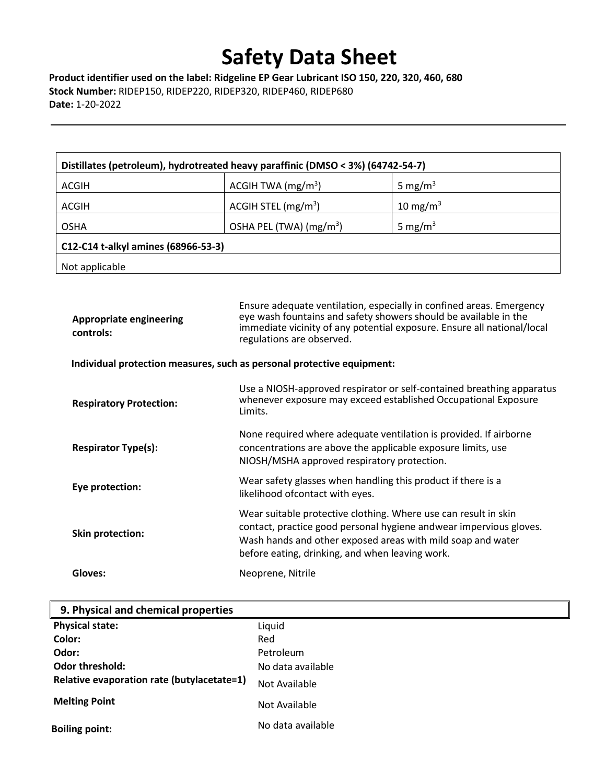**Product identifier used on the label: Ridgeline EP Gear Lubricant ISO 150, 220, 320, 460, 680 Stock Number:** RIDEP150, RIDEP220, RIDEP320, RIDEP460, RIDEP680 **Date:** 1-20-2022

| Distillates (petroleum), hydrotreated heavy paraffinic (DMSO < 3%) (64742-54-7) |                          |                      |
|---------------------------------------------------------------------------------|--------------------------|----------------------|
| <b>ACGIH</b>                                                                    | ACGIH TWA $(mg/m3)$      | 5 mg/m <sup>3</sup>  |
| ACGIH                                                                           | ACGIH STEL $(mg/m3)$     | 10 mg/m <sup>3</sup> |
| <b>OSHA</b>                                                                     | OSHA PEL (TWA) $(mg/m3)$ | 5 mg/m <sup>3</sup>  |
| C12-C14 t-alkyl amines (68966-53-3)                                             |                          |                      |
| Not applicable                                                                  |                          |                      |

| <b>Appropriate engineering</b><br>controls:                            | Ensure adequate ventilation, especially in confined areas. Emergency<br>eye wash fountains and safety showers should be available in the<br>immediate vicinity of any potential exposure. Ensure all national/local<br>regulations are observed.        |
|------------------------------------------------------------------------|---------------------------------------------------------------------------------------------------------------------------------------------------------------------------------------------------------------------------------------------------------|
| Individual protection measures, such as personal protective equipment: |                                                                                                                                                                                                                                                         |
| <b>Respiratory Protection:</b>                                         | Use a NIOSH-approved respirator or self-contained breathing apparatus<br>whenever exposure may exceed established Occupational Exposure<br>Limits.                                                                                                      |
| <b>Respirator Type(s):</b>                                             | None required where adequate ventilation is provided. If airborne<br>concentrations are above the applicable exposure limits, use<br>NIOSH/MSHA approved respiratory protection.                                                                        |
| Eye protection:                                                        | Wear safety glasses when handling this product if there is a<br>likelihood ofcontact with eyes.                                                                                                                                                         |
| <b>Skin protection:</b>                                                | Wear suitable protective clothing. Where use can result in skin<br>contact, practice good personal hygiene andwear impervious gloves.<br>Wash hands and other exposed areas with mild soap and water<br>before eating, drinking, and when leaving work. |
| Gloves:                                                                | Neoprene, Nitrile                                                                                                                                                                                                                                       |

| 9. Physical and chemical properties        |                   |
|--------------------------------------------|-------------------|
| <b>Physical state:</b>                     | Liquid            |
| Color:                                     | Red               |
| Odor:                                      | Petroleum         |
| Odor threshold:                            | No data available |
| Relative evaporation rate (butylacetate=1) | Not Available     |
| <b>Melting Point</b>                       | Not Available     |
| <b>Boiling point:</b>                      | No data available |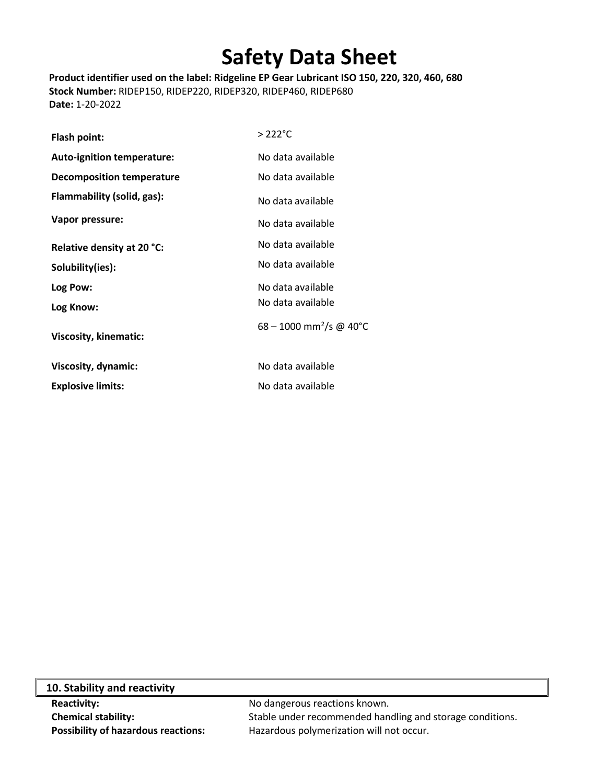**Product identifier used on the label: Ridgeline EP Gear Lubricant ISO 150, 220, 320, 460, 680 Stock Number:** RIDEP150, RIDEP220, RIDEP320, RIDEP460, RIDEP680 **Date:** 1-20-2022

| Flash point:                      | $>222^{\circ}$ C                      |
|-----------------------------------|---------------------------------------|
| <b>Auto-ignition temperature:</b> | No data available                     |
| Decomposition temperature         | No data available                     |
| Flammability (solid, gas):        | No data available                     |
| Vapor pressure:                   | No data available                     |
| Relative density at 20 °C:        | No data available                     |
| Solubility(ies):                  | No data available                     |
| Log Pow:                          | No data available                     |
| Log Know:                         | No data available                     |
| <b>Viscosity, kinematic:</b>      | $68 - 1000$ mm <sup>2</sup> /s @ 40°C |
| Viscosity, dynamic:               | No data available                     |
| <b>Explosive limits:</b>          | No data available                     |

| 10. Stability and reactivity         |                      |
|--------------------------------------|----------------------|
| <b>Reactivity:</b>                   | No dangerous rea     |
| <b>Chemical stability:</b>           | Stable under reco    |
| Deseibility of horoughing uppetions. | $I$ lazardaus nahumu |

 $\mathsf{L}$ 

**Reactions known. INIMICAL STABILITY:** Statemended handling and storage conditions. **Possibility of hazardous reactions:** Hazardous polymerization will not occur.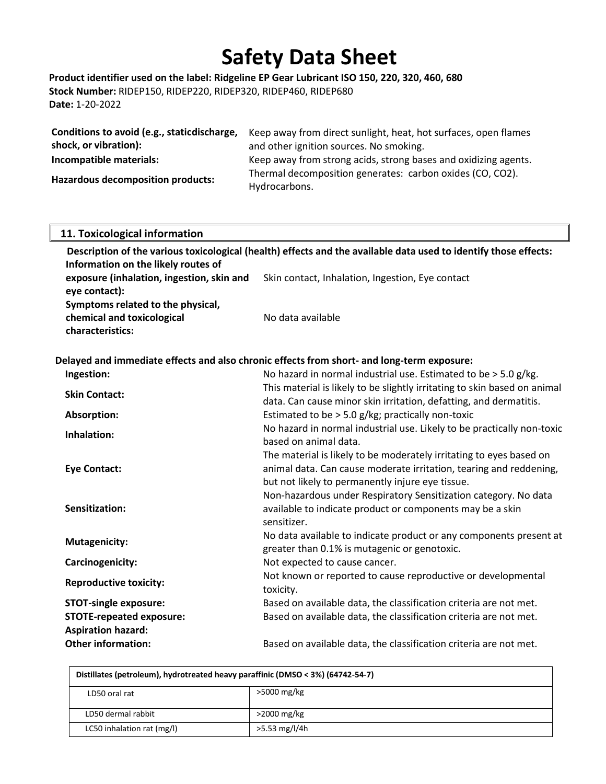**Product identifier used on the label: Ridgeline EP Gear Lubricant ISO 150, 220, 320, 460, 680 Stock Number:** RIDEP150, RIDEP220, RIDEP320, RIDEP460, RIDEP680 **Date:** 1-20-2022

| Conditions to avoid (e.g., staticdischarge, | Keep away from direct sunlight, heat, hot surfaces, open flames |
|---------------------------------------------|-----------------------------------------------------------------|
| shock, or vibration):                       | and other ignition sources. No smoking.                         |
| Incompatible materials:                     | Keep away from strong acids, strong bases and oxidizing agents. |
| <b>Hazardous decomposition products:</b>    | Thermal decomposition generates: carbon oxides (CO, CO2).       |
|                                             | Hydrocarbons.                                                   |

| 11. Toxicological information                                                       |                                                                                                                                                                                               |
|-------------------------------------------------------------------------------------|-----------------------------------------------------------------------------------------------------------------------------------------------------------------------------------------------|
| Information on the likely routes of                                                 | Description of the various toxicological (health) effects and the available data used to identify those effects:                                                                              |
| exposure (inhalation, ingestion, skin and<br>eye contact):                          | Skin contact, Inhalation, Ingestion, Eye contact                                                                                                                                              |
| Symptoms related to the physical,<br>chemical and toxicological<br>characteristics: | No data available                                                                                                                                                                             |
|                                                                                     | Delayed and immediate effects and also chronic effects from short- and long-term exposure:                                                                                                    |
| Ingestion:                                                                          | No hazard in normal industrial use. Estimated to be $>$ 5.0 g/kg.                                                                                                                             |
| <b>Skin Contact:</b>                                                                | This material is likely to be slightly irritating to skin based on animal<br>data. Can cause minor skin irritation, defatting, and dermatitis.                                                |
| Absorption:                                                                         | Estimated to be > 5.0 g/kg; practically non-toxic                                                                                                                                             |
| Inhalation:                                                                         | No hazard in normal industrial use. Likely to be practically non-toxic<br>based on animal data.                                                                                               |
| <b>Eye Contact:</b>                                                                 | The material is likely to be moderately irritating to eyes based on<br>animal data. Can cause moderate irritation, tearing and reddening,<br>but not likely to permanently injure eye tissue. |
| Sensitization:                                                                      | Non-hazardous under Respiratory Sensitization category. No data<br>available to indicate product or components may be a skin<br>sensitizer.                                                   |
| <b>Mutagenicity:</b>                                                                | No data available to indicate product or any components present at<br>greater than 0.1% is mutagenic or genotoxic.                                                                            |
| Carcinogenicity:                                                                    | Not expected to cause cancer.                                                                                                                                                                 |
| <b>Reproductive toxicity:</b>                                                       | Not known or reported to cause reproductive or developmental<br>toxicity.                                                                                                                     |
| <b>STOT-single exposure:</b>                                                        | Based on available data, the classification criteria are not met.                                                                                                                             |
| <b>STOTE-repeated exposure:</b>                                                     | Based on available data, the classification criteria are not met.                                                                                                                             |
| <b>Aspiration hazard:</b>                                                           |                                                                                                                                                                                               |

| Distillates (petroleum), hydrotreated heavy paraffinic (DMSO < 3%) (64742-54-7) |                |
|---------------------------------------------------------------------------------|----------------|
| LD50 oral rat                                                                   | >5000 mg/kg    |
| LD50 dermal rabbit                                                              | $>$ 2000 mg/kg |
| LC50 inhalation rat (mg/l)                                                      | >5.53 mg/l/4h  |

**Other information:** Based on available data, the classification criteria are not met.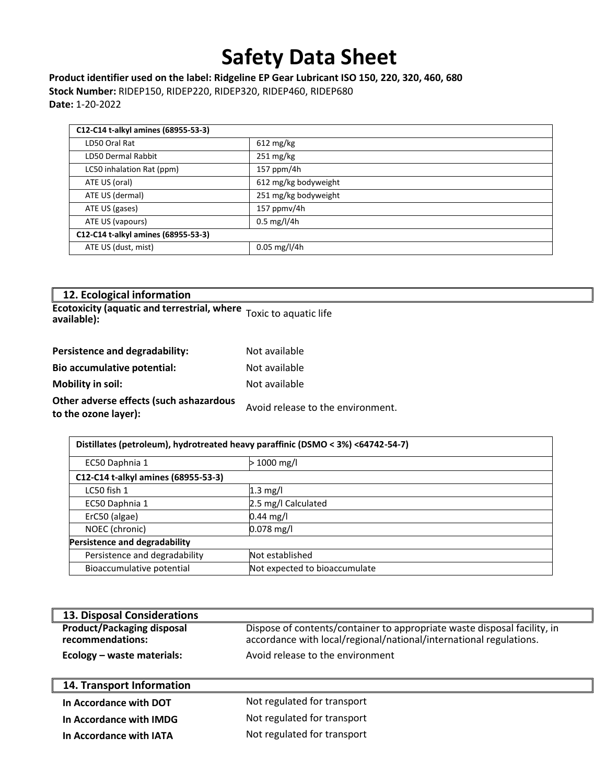**Product identifier used on the label: Ridgeline EP Gear Lubricant ISO 150, 220, 320, 460, 680 Stock Number:** RIDEP150, RIDEP220, RIDEP320, RIDEP460, RIDEP680 **Date:** 1-20-2022

| C12-C14 t-alkyl amines (68955-53-3) |                          |
|-------------------------------------|--------------------------|
| LD50 Oral Rat                       | $612 \text{ mg/kg}$      |
| <b>LD50 Dermal Rabbit</b>           | $251 \text{ mg/kg}$      |
| LC50 inhalation Rat (ppm)           | $157$ ppm/4h             |
| ATE US (oral)                       | 612 mg/kg bodyweight     |
| ATE US (dermal)                     | 251 mg/kg bodyweight     |
| ATE US (gases)                      | $157$ ppmv/4h            |
| ATE US (vapours)                    | $0.5 \,\mathrm{mg}/l/4h$ |
| C12-C14 t-alkyl amines (68955-53-3) |                          |
| ATE US (dust, mist)                 | $0.05$ mg/l/4h           |

| 12. Ecological information                                        |                       |  |
|-------------------------------------------------------------------|-----------------------|--|
| <b>Ecotoxicity (aquatic and terrestrial, where</b><br>available): | Toxic to aquatic life |  |
| Persistence and degradability:                                    | Not available         |  |
| <b>Bio accumulative potential:</b>                                | Not available         |  |
| <b>Mobility in soil:</b>                                          | Not available         |  |
|                                                                   |                       |  |

**Other adverse effects (such ashazardous to the ozone layer): therefore layer)**: **the ozone layer**):

| Distillates (petroleum), hydrotreated heavy paraffinic (DSMO < 3%) <64742-54-7) |  |  |
|---------------------------------------------------------------------------------|--|--|
|                                                                                 |  |  |
| $1000 \,\mathrm{mg/l}$                                                          |  |  |
| C12-C14 t-alkyl amines (68955-53-3)                                             |  |  |
|                                                                                 |  |  |
| 2.5 mg/l Calculated                                                             |  |  |
| 0.44 mg/l                                                                       |  |  |
| $0.078$ mg/l                                                                    |  |  |
| Persistence and degradability                                                   |  |  |
| Not established                                                                 |  |  |
| Not expected to bioaccumulate                                                   |  |  |
|                                                                                 |  |  |

| 13. Disposal Considerations                           |                                                                                                                                                |
|-------------------------------------------------------|------------------------------------------------------------------------------------------------------------------------------------------------|
| <b>Product/Packaging disposal</b><br>recommendations: | Dispose of contents/container to appropriate waste disposal facility, in<br>accordance with local/regional/national/international regulations. |
| Ecology - waste materials:                            | Avoid release to the environment                                                                                                               |
|                                                       |                                                                                                                                                |
|                                                       |                                                                                                                                                |
| 14. Transport Information                             |                                                                                                                                                |
| In Accordance with DOT                                | Not regulated for transport                                                                                                                    |
| In Accordance with IMDG                               | Not regulated for transport                                                                                                                    |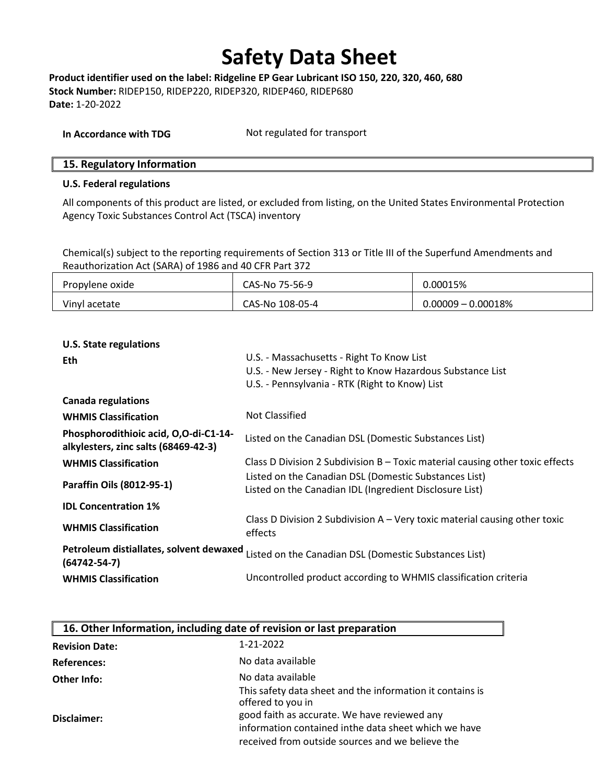**Product identifier used on the label: Ridgeline EP Gear Lubricant ISO 150, 220, 320, 460, 680 Stock Number:** RIDEP150, RIDEP220, RIDEP320, RIDEP460, RIDEP680 **Date:** 1-20-2022

| In Accordance with TDG | Not regulated for transport |
|------------------------|-----------------------------|
|------------------------|-----------------------------|

#### **15. Regulatory Information**

#### **U.S. Federal regulations**

All components of this product are listed, or excluded from listing, on the United States Environmental Protection Agency Toxic Substances Control Act (TSCA) inventory

Chemical(s) subject to the reporting requirements of Section 313 or Title III of the Superfund Amendments and Reauthorization Act (SARA) of 1986 and 40 CFR Part 372

| Propylene oxide | CAS-No 75-56-9  | 0.00015%              |
|-----------------|-----------------|-----------------------|
| Vinyl acetate   | CAS-No 108-05-4 | $0.00009 - 0.00018\%$ |

#### **U.S. State regulations**

| <b>Eth</b>                                                                    | U.S. - Massachusetts - Right To Know List                                                |
|-------------------------------------------------------------------------------|------------------------------------------------------------------------------------------|
|                                                                               | U.S. - New Jersey - Right to Know Hazardous Substance List                               |
|                                                                               | U.S. - Pennsylvania - RTK (Right to Know) List                                           |
| <b>Canada regulations</b>                                                     |                                                                                          |
| <b>WHMIS Classification</b>                                                   | Not Classified                                                                           |
| Phosphorodithioic acid, O,O-di-C1-14-<br>alkylesters, zinc salts (68469-42-3) | Listed on the Canadian DSL (Domestic Substances List)                                    |
| <b>WHMIS Classification</b>                                                   | Class D Division 2 Subdivision B - Toxic material causing other toxic effects            |
|                                                                               | Listed on the Canadian DSL (Domestic Substances List)                                    |
| Paraffin Oils (8012-95-1)                                                     | Listed on the Canadian IDL (Ingredient Disclosure List)                                  |
| <b>IDL Concentration 1%</b>                                                   |                                                                                          |
| <b>WHMIS Classification</b>                                                   | Class D Division 2 Subdivision $A - V$ ery toxic material causing other toxic<br>effects |
| Petroleum distiallates, solvent dewaxed<br>$(64742 - 54 - 7)$                 | Listed on the Canadian DSL (Domestic Substances List)                                    |
| <b>WHMIS Classification</b>                                                   | Uncontrolled product according to WHMIS classification criteria                          |

| 16. Other Information, including date of revision or last preparation |                                                                                |
|-----------------------------------------------------------------------|--------------------------------------------------------------------------------|
| <b>Revision Date:</b>                                                 | 1-21-2022                                                                      |
| <b>References:</b>                                                    | No data available                                                              |
| Other Info:                                                           | No data available                                                              |
| Disclaimer:                                                           | This safety data sheet and the information it contains is<br>offered to you in |
|                                                                       | good faith as accurate. We have reviewed any                                   |
|                                                                       | information contained inthe data sheet which we have                           |
|                                                                       | received from outside sources and we believe the                               |